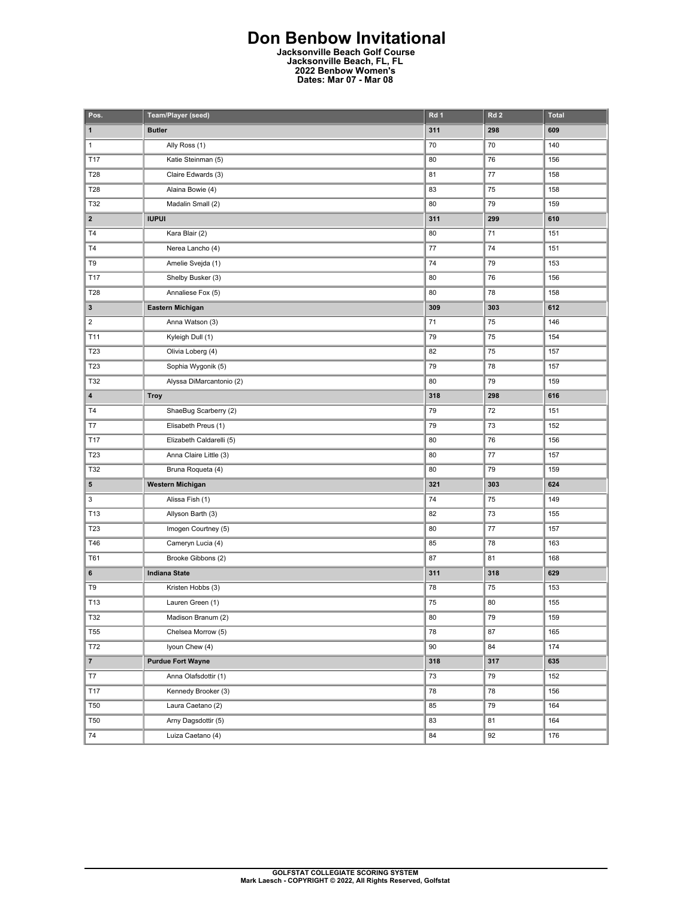## **Don Benbow Invitational**

**Jacksonville Beach Golf Course Jacksonville Beach, FL, FL 2022 Benbow Women's Dates: Mar 07 - Mar 08** 

| Pos.                    | Team/Player (seed)       | Rd 1 | Rd <sub>2</sub> | <b>Total</b> |
|-------------------------|--------------------------|------|-----------------|--------------|
| $\mathbf 1$             | <b>Butler</b>            | 311  | 298             | 609          |
| $\mathbf{1}$            | Ally Ross (1)            | 70   | 70              | 140          |
| T17                     | Katie Steinman (5)       | 80   | 76              | 156          |
| T28                     | Claire Edwards (3)       | 81   | 77              | 158          |
| T28                     | Alaina Bowie (4)         | 83   | 75              | 158          |
| T32                     | Madalin Small (2)        | 80   | 79              | 159          |
| $\overline{\mathbf{2}}$ | <b>IUPUI</b>             | 311  | 299             | 610          |
| <b>T4</b>               | Kara Blair (2)           | 80   | 71              | 151          |
| T4                      | Nerea Lancho (4)         | 77   | 74              | 151          |
| T9                      | Amelie Svejda (1)        | 74   | 79              | 153          |
| T17                     | Shelby Busker (3)        | 80   | 76              | 156          |
| T28                     | Annaliese Fox (5)        | 80   | 78              | 158          |
| 3                       | Eastern Michigan         | 309  | 303             | 612          |
| $\overline{\mathbf{c}}$ | Anna Watson (3)          | 71   | 75              | 146          |
| T11                     | Kyleigh Dull (1)         | 79   | 75              | 154          |
| T23                     | Olivia Loberg (4)        | 82   | 75              | 157          |
| T23                     | Sophia Wygonik (5)       | 79   | 78              | 157          |
| T32                     | Alyssa DiMarcantonio (2) | 80   | 79              | 159          |
| 4                       | <b>Troy</b>              | 318  | 298             | 616          |
| T <sub>4</sub>          | ShaeBug Scarberry (2)    | 79   | 72              | 151          |
| T7                      | Elisabeth Preus (1)      | 79   | 73              | 152          |
| T17                     | Elizabeth Caldarelli (5) | 80   | 76              | 156          |
| T23                     | Anna Claire Little (3)   | 80   | 77              | 157          |
| T32                     | Bruna Roqueta (4)        | 80   | 79              | 159          |
| 5                       | Western Michigan         | 321  | 303             | 624          |
| 3                       | Alissa Fish (1)          | 74   | 75              | 149          |
| T13                     | Allyson Barth (3)        | 82   | 73              | 155          |
| T23                     | Imogen Courtney (5)      | 80   | 77              | 157          |
| T46                     | Cameryn Lucia (4)        | 85   | 78              | 163          |
| T61                     | Brooke Gibbons (2)       | 87   | 81              | 168          |
| 6                       | <b>Indiana State</b>     | 311  | 318             | 629          |
| T9                      | Kristen Hobbs (3)        | 78   | 75              | 153          |
| T13                     | Lauren Green (1)         | 75   | 80              | 155          |
| T32                     | Madison Branum (2)       | 80   | 79              | 159          |
| <b>T55</b>              | Chelsea Morrow (5)       | 78   | 87              | 165          |
| T72                     | Iyoun Chew (4)           | 90   | 84              | 174          |
| $\overline{7}$          | <b>Purdue Fort Wayne</b> | 318  | 317             | 635          |
| T7                      | Anna Olafsdottir (1)     | 73   | 79              | 152          |
| <b>T17</b>              | Kennedy Brooker (3)      | 78   | 78              | 156          |
| <b>T50</b>              | Laura Caetano (2)        | 85   | 79              | 164          |
| <b>T50</b>              | Arny Dagsdottir (5)      | 83   | 81              | 164          |
| 74                      | Luiza Caetano (4)        | 84   | 92              | 176          |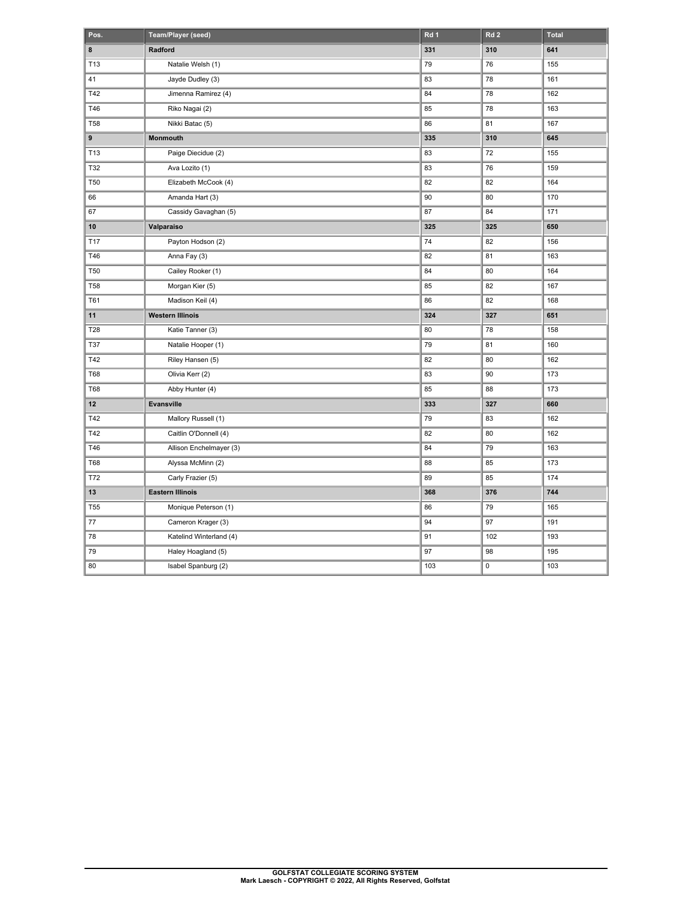| Pos.            | Team/Player (seed)      | Rd 1 | Rd <sub>2</sub> | <b>Total</b> |
|-----------------|-------------------------|------|-----------------|--------------|
| 8               | Radford                 | 331  | 310             | 641          |
| T13             | Natalie Welsh (1)       | 79   | 76              | 155          |
| 41              | Jayde Dudley (3)        | 83   | 78              | 161          |
| T42             | Jimenna Ramirez (4)     | 84   | 78              | 162          |
| T46             | Riko Nagai (2)          | 85   | 78              | 163          |
| <b>T58</b>      | Nikki Batac (5)         | 86   | 81              | 167          |
| 9               | Monmouth                | 335  | 310             | 645          |
| T13             | Paige Diecidue (2)      | 83   | 72              | 155          |
| T32             | Ava Lozito (1)          | 83   | 76              | 159          |
| <b>T50</b>      | Elizabeth McCook (4)    | 82   | 82              | 164          |
| 66              | Amanda Hart (3)         | 90   | 80              | 170          |
| 67              | Cassidy Gavaghan (5)    | 87   | 84              | 171          |
| 10              | Valparaiso              | 325  | 325             | 650          |
| T17             | Payton Hodson (2)       | 74   | 82              | 156          |
| T46             | Anna Fay (3)            | 82   | 81              | 163          |
| <b>T50</b>      | Cailey Rooker (1)       | 84   | 80              | 164          |
| <b>T58</b>      | Morgan Kier (5)         | 85   | 82              | 167          |
| <b>T61</b>      | Madison Keil (4)        | 86   | 82              | 168          |
| 11              | <b>Western Illinois</b> | 324  | 327             | 651          |
| T28             | Katie Tanner (3)        | 80   | 78              | 158          |
| T37             | Natalie Hooper (1)      | 79   | 81              | 160          |
| T42             | Riley Hansen (5)        | 82   | 80              | 162          |
| <b>T68</b>      | Olivia Kerr (2)         | 83   | 90              | 173          |
| <b>T68</b>      | Abby Hunter (4)         | 85   | 88              | 173          |
| 12              | Evansville              | 333  | 327             | 660          |
| T42             | Mallory Russell (1)     | 79   | 83              | 162          |
| T42             | Caitlin O'Donnell (4)   | 82   | 80              | 162          |
| T46             | Allison Enchelmayer (3) | 84   | 79              | 163          |
| <b>T68</b>      | Alyssa McMinn (2)       | 88   | 85              | 173          |
| T72             | Carly Frazier (5)       | 89   | 85              | 174          |
| 13              | <b>Eastern Illinois</b> | 368  | 376             | 744          |
| T <sub>55</sub> | Monique Peterson (1)    | 86   | 79              | 165          |
| $77 \,$         | Cameron Krager (3)      | 94   | 97              | 191          |
| 78              | Katelind Winterland (4) | 91   | 102             | 193          |
| 79              | Haley Hoagland (5)      | 97   | 98              | 195          |
| 80              | Isabel Spanburg (2)     | 103  | $\pmb{0}$       | 103          |